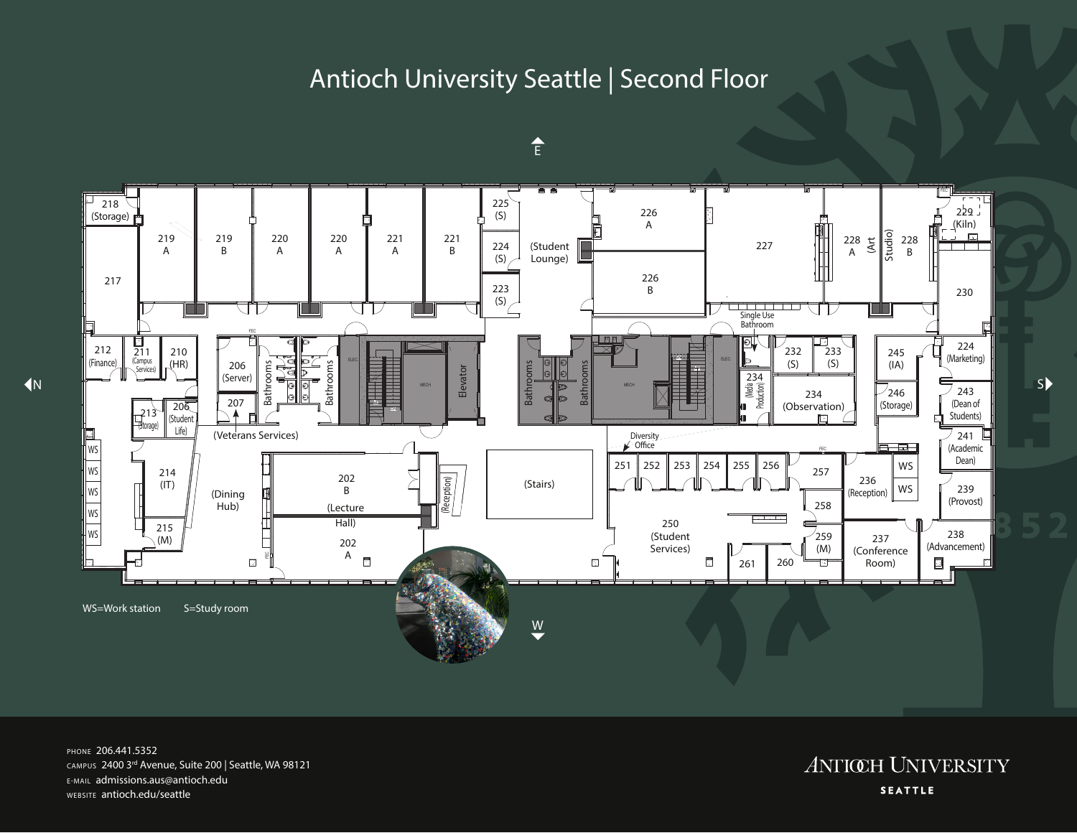## Antioch University Seattle | Second Floor



E

PHONE 206.441.5352 CAMPUS 2400 3rd Avenue, Suite 200 | Seattle, WA 98121 E-MAIL admissions.aus@antioch.edu WEBSITE antioch.edu/seattle

**ANTIŒH UNIVERSITY SEATTLE**